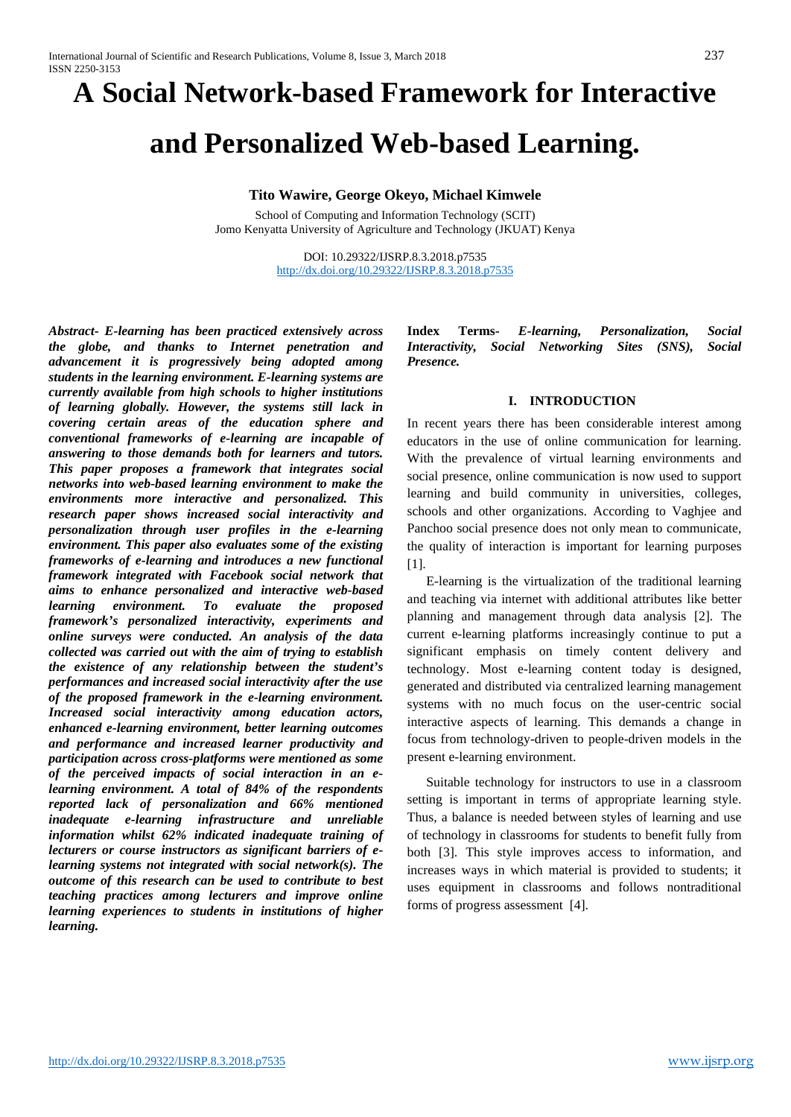# **A Social Network-based Framework for Interactive**

# **and Personalized Web-based Learning.**

#### **Tito Wawire, George Okeyo, Michael Kimwele**

School of Computing and Information Technology (SCIT) Jomo Kenyatta University of Agriculture and Technology (JKUAT) Kenya

> DOI: 10.29322/IJSRP.8.3.2018.p7535 <http://dx.doi.org/10.29322/IJSRP.8.3.2018.p7535>

*Abstract***-** *E-learning has been practiced extensively across the globe, and thanks to Internet penetration and advancement it is progressively being adopted among students in the learning environment. E-learning systems are currently available from high schools to higher institutions of learning globally. However, the systems still lack in covering certain areas of the education sphere and conventional frameworks of e-learning are incapable of answering to those demands both for learners and tutors. This paper proposes a framework that integrates social networks into web-based learning environment to make the environments more interactive and personalized. This research paper shows increased social interactivity and personalization through user profiles in the e-learning environment. This paper also evaluates some of the existing frameworks of e-learning and introduces a new functional framework integrated with Facebook social network that aims to enhance personalized and interactive web-based learning environment. To evaluate the proposed framework's personalized interactivity, experiments and online surveys were conducted. An analysis of the data collected was carried out with the aim of trying to establish the existence of any relationship between the student's performances and increased social interactivity after the use of the proposed framework in the e-learning environment. Increased social interactivity among education actors, enhanced e-learning environment, better learning outcomes and performance and increased learner productivity and participation across cross-platforms were mentioned as some of the perceived impacts of social interaction in an elearning environment. A total of 84% of the respondents reported lack of personalization and 66% mentioned inadequate e-learning infrastructure and unreliable information whilst 62% indicated inadequate training of lecturers or course instructors as significant barriers of elearning systems not integrated with social network(s). The outcome of this research can be used to contribute to best teaching practices among lecturers and improve online learning experiences to students in institutions of higher learning.*

**Index Terms-** *E-learning, Personalization, Social Interactivity, Social Networking Sites (SNS), Social Presence.*

# **I. INTRODUCTION**

In recent years there has been considerable interest among educators in the use of online communication for learning. With the prevalence of virtual learning environments and social presence, online communication is now used to support learning and build community in universities, colleges, schools and other organizations. According to Vaghjee and Panchoo social presence does not only mean to communicate, the quality of interaction is important for learning purposes [1].

E-learning is the virtualization of the traditional learning and teaching via internet with additional attributes like better planning and management through data analysis [2]. The current e-learning platforms increasingly continue to put a significant emphasis on timely content delivery and technology. Most e-learning content today is designed, generated and distributed via centralized learning management systems with no much focus on the user-centric social interactive aspects of learning. This demands a change in focus from technology-driven to people-driven models in the present e-learning environment.

Suitable technology for instructors to use in a classroom setting is important in terms of appropriate learning style. Thus, a balance is needed between styles of learning and use of technology in classrooms for students to benefit fully from both [3]. This style improves access to information, and increases ways in which material is provided to students; it uses equipment in classrooms and follows nontraditional forms of progress assessment [4].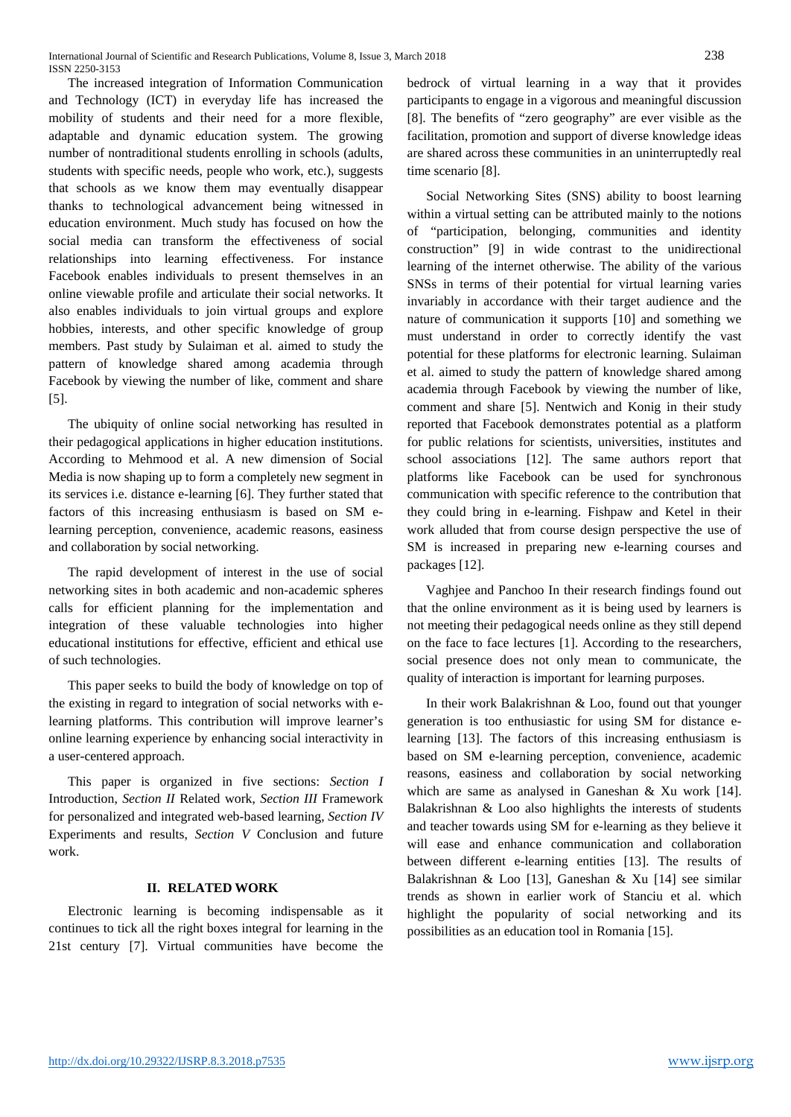The increased integration of Information Communication and Technology (ICT) in everyday life has increased the mobility of students and their need for a more flexible, adaptable and dynamic education system. The growing number of nontraditional students enrolling in schools (adults, students with specific needs, people who work, etc.), suggests that schools as we know them may eventually disappear thanks to technological advancement being witnessed in education environment. Much study has focused on how the social media can transform the effectiveness of social relationships into learning effectiveness. For instance Facebook enables individuals to present themselves in an online viewable profile and articulate their social networks. It also enables individuals to join virtual groups and explore hobbies, interests, and other specific knowledge of group members. Past study by Sulaiman et al. aimed to study the pattern of knowledge shared among academia through Facebook by viewing the number of like, comment and share [5].

The ubiquity of online social networking has resulted in their pedagogical applications in higher education institutions. According to Mehmood et al. A new dimension of Social Media is now shaping up to form a completely new segment in its services i.e. distance e-learning [6]. They further stated that factors of this increasing enthusiasm is based on SM elearning perception, convenience, academic reasons, easiness and collaboration by social networking.

The rapid development of interest in the use of social networking sites in both academic and non-academic spheres calls for efficient planning for the implementation and integration of these valuable technologies into higher educational institutions for effective, efficient and ethical use of such technologies.

This paper seeks to build the body of knowledge on top of the existing in regard to integration of social networks with elearning platforms. This contribution will improve learner's online learning experience by enhancing social interactivity in a user-centered approach.

This paper is organized in five sections: *Section I* Introduction, *Section II* Related work, *Section III* Framework for personalized and integrated web-based learning, *Section IV* Experiments and results, *Section V* Conclusion and future work.

# **II. RELATED WORK**

Electronic learning is becoming indispensable as it continues to tick all the right boxes integral for learning in the 21st century [7]. Virtual communities have become the bedrock of virtual learning in a way that it provides participants to engage in a vigorous and meaningful discussion [8]. The benefits of "zero geography" are ever visible as the facilitation, promotion and support of diverse knowledge ideas are shared across these communities in an uninterruptedly real time scenario [8].

Social Networking Sites (SNS) ability to boost learning within a virtual setting can be attributed mainly to the notions of "participation, belonging, communities and identity construction" [9] in wide contrast to the unidirectional learning of the internet otherwise. The ability of the various SNSs in terms of their potential for virtual learning varies invariably in accordance with their target audience and the nature of communication it supports [10] and something we must understand in order to correctly identify the vast potential for these platforms for electronic learning. Sulaiman et al. aimed to study the pattern of knowledge shared among academia through Facebook by viewing the number of like, comment and share [5]. Nentwich and Konig in their study reported that Facebook demonstrates potential as a platform for public relations for scientists, universities, institutes and school associations [12]. The same authors report that platforms like Facebook can be used for synchronous communication with specific reference to the contribution that they could bring in e-learning. Fishpaw and Ketel in their work alluded that from course design perspective the use of SM is increased in preparing new e-learning courses and packages [12].

Vaghjee and Panchoo In their research findings found out that the online environment as it is being used by learners is not meeting their pedagogical needs online as they still depend on the face to face lectures [1]. According to the researchers, social presence does not only mean to communicate, the quality of interaction is important for learning purposes.

In their work Balakrishnan & Loo, found out that younger generation is too enthusiastic for using SM for distance elearning [13]. The factors of this increasing enthusiasm is based on SM e-learning perception, convenience, academic reasons, easiness and collaboration by social networking which are same as analysed in Ganeshan & Xu work [14]. Balakrishnan & Loo also highlights the interests of students and teacher towards using SM for e-learning as they believe it will ease and enhance communication and collaboration between different e-learning entities [13]. The results of Balakrishnan & Loo [13], Ganeshan & Xu [14] see similar trends as shown in earlier work of Stanciu et al. which highlight the popularity of social networking and its possibilities as an education tool in Romania [15].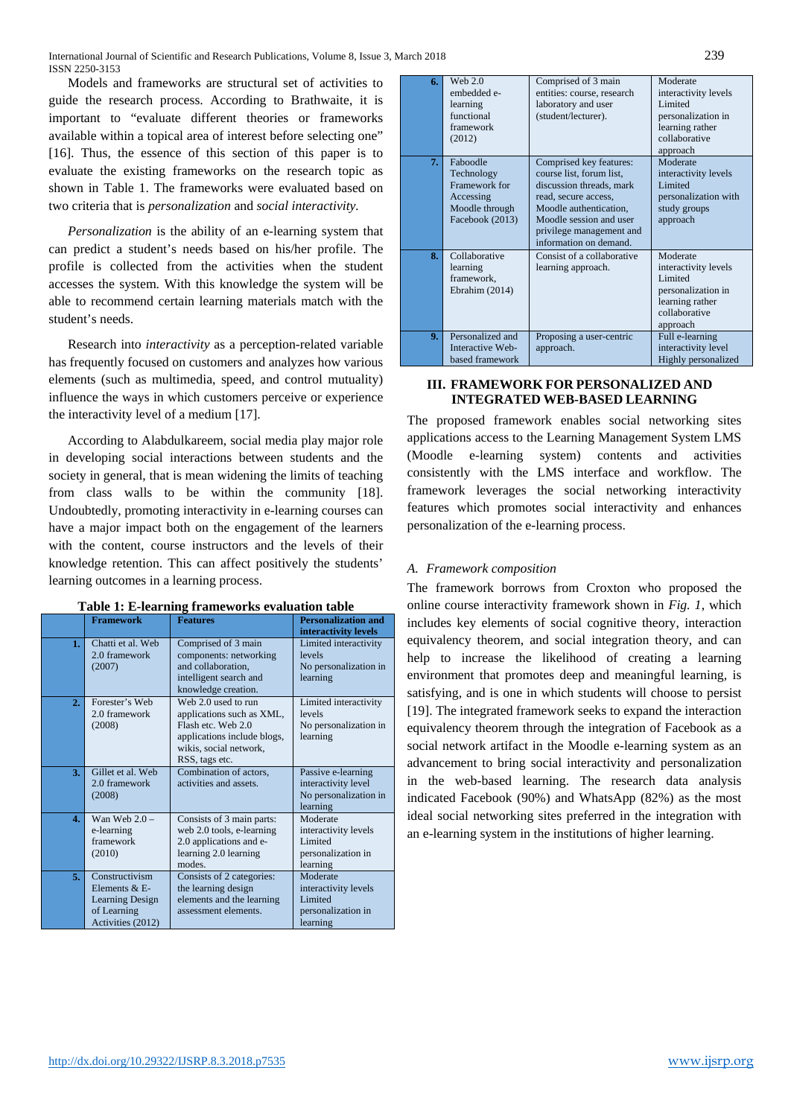Models and frameworks are structural set of activities to guide the research process. According to Brathwaite, it is important to "evaluate different theories or frameworks available within a topical area of interest before selecting one" [16]. Thus, the essence of this section of this paper is to evaluate the existing frameworks on the research topic as shown in Table 1. The frameworks were evaluated based on two criteria that is *personalization* and *social interactivity.*

*Personalization* is the ability of an e-learning system that can predict a student's needs based on his/her profile. The profile is collected from the activities when the student accesses the system. With this knowledge the system will be able to recommend certain learning materials match with the student's needs.

Research into *interactivity* as a perception-related variable has frequently focused on customers and analyzes how various elements (such as multimedia, speed, and control mutuality) influence the ways in which customers perceive or experience the interactivity level of a medium [17].

According to Alabdulkareem, social media play major role in developing social interactions between students and the society in general, that is mean widening the limits of teaching from class walls to be within the community [18]. Undoubtedly, promoting interactivity in e-learning courses can have a major impact both on the engagement of the learners with the content, course instructors and the levels of their knowledge retention. This can affect positively the students' learning outcomes in a learning process.

|                | <b>Framework</b>                                                                              | <b>Features</b>                                                                                                                                   | <b>Personalization and</b><br>interactivity levels                             |
|----------------|-----------------------------------------------------------------------------------------------|---------------------------------------------------------------------------------------------------------------------------------------------------|--------------------------------------------------------------------------------|
| 1 <sub>1</sub> | Chatti et al. Web<br>2.0 framework<br>(2007)                                                  | Comprised of 3 main<br>components: networking<br>and collaboration,<br>intelligent search and<br>knowledge creation.                              | Limited interactivity<br>levels<br>No personalization in<br>learning           |
| 2.             | Forester's Web<br>2.0 framework<br>(2008)                                                     | Web 2.0 used to run<br>applications such as XML,<br>Flash etc. Web 2.0<br>applications include blogs,<br>wikis, social network,<br>RSS, tags etc. | Limited interactivity<br>levels<br>No personalization in<br>learning           |
| 3.             | Gillet et al. Web<br>2.0 framework<br>(2008)                                                  | Combination of actors,<br>activities and assets.                                                                                                  | Passive e-learning<br>interactivity level<br>No personalization in<br>learning |
| $\mathbf{4}$ . | Wan Web $2.0 -$<br>e-learning<br>framework<br>(2010)                                          | Consists of 3 main parts:<br>web 2.0 tools, e-learning<br>2.0 applications and e-<br>learning 2.0 learning<br>modes.                              | Moderate<br>interactivity levels<br>Limited<br>personalization in<br>learning  |
| 5.             | Constructivism<br>Elements & E-<br><b>Learning Design</b><br>of Learning<br>Activities (2012) | Consists of 2 categories:<br>the learning design<br>elements and the learning<br>assessment elements.                                             | Moderate<br>interactivity levels<br>Limited<br>personalization in<br>learning  |

#### **Table 1: E-learning frameworks evaluation table**

| 6.             | Web $2.0$<br>embedded e-<br>learning<br>functional<br>framework<br>(2012)                 | Comprised of 3 main<br>entities: course, research<br>laboratory and user<br>(student/lecturer).                                                                                                                    | Moderate<br>interactivity levels<br>Limited<br>personalization in<br>learning rather<br>collaborative<br>approach |
|----------------|-------------------------------------------------------------------------------------------|--------------------------------------------------------------------------------------------------------------------------------------------------------------------------------------------------------------------|-------------------------------------------------------------------------------------------------------------------|
| 7.             | Faboodle<br>Technology<br>Framework for<br>Accessing<br>Moodle through<br>Facebook (2013) | Comprised key features:<br>course list, forum list,<br>discussion threads, mark<br>read, secure access,<br>Moodle authentication,<br>Moodle session and user<br>privilege management and<br>information on demand. | Moderate<br>interactivity levels<br>Limited<br>personalization with<br>study groups<br>approach                   |
| 8.             | Collaborative<br>learning<br>framework,<br>Ebrahim (2014)                                 | Consist of a collaborative<br>learning approach.                                                                                                                                                                   | Moderate<br>interactivity levels<br>Limited<br>personalization in<br>learning rather<br>collaborative<br>approach |
| 9 <sub>z</sub> | Personalized and<br>Interactive Web-<br>based framework                                   | Proposing a user-centric<br>approach.                                                                                                                                                                              | Full e-learning<br>interactivity level<br>Highly personalized                                                     |

### **III. FRAMEWORK FOR PERSONALIZED AND INTEGRATED WEB-BASED LEARNING**

The proposed framework enables social networking sites applications access to the Learning Management System LMS (Moodle e-learning system) contents and activities consistently with the LMS interface and workflow. The framework leverages the social networking interactivity features which promotes social interactivity and enhances personalization of the e-learning process.

# *A. Framework composition*

The framework borrows from Croxton who proposed the online course interactivity framework shown in *Fig. 1*, which includes key elements of social cognitive theory, interaction equivalency theorem, and social integration theory, and can help to increase the likelihood of creating a learning environment that promotes deep and meaningful learning, is satisfying, and is one in which students will choose to persist [19]. The integrated framework seeks to expand the interaction equivalency theorem through the integration of Facebook as a social network artifact in the Moodle e-learning system as an advancement to bring social interactivity and personalization in the web-based learning. The research data analysis indicated Facebook (90%) and WhatsApp (82%) as the most ideal social networking sites preferred in the integration with an e-learning system in the institutions of higher learning.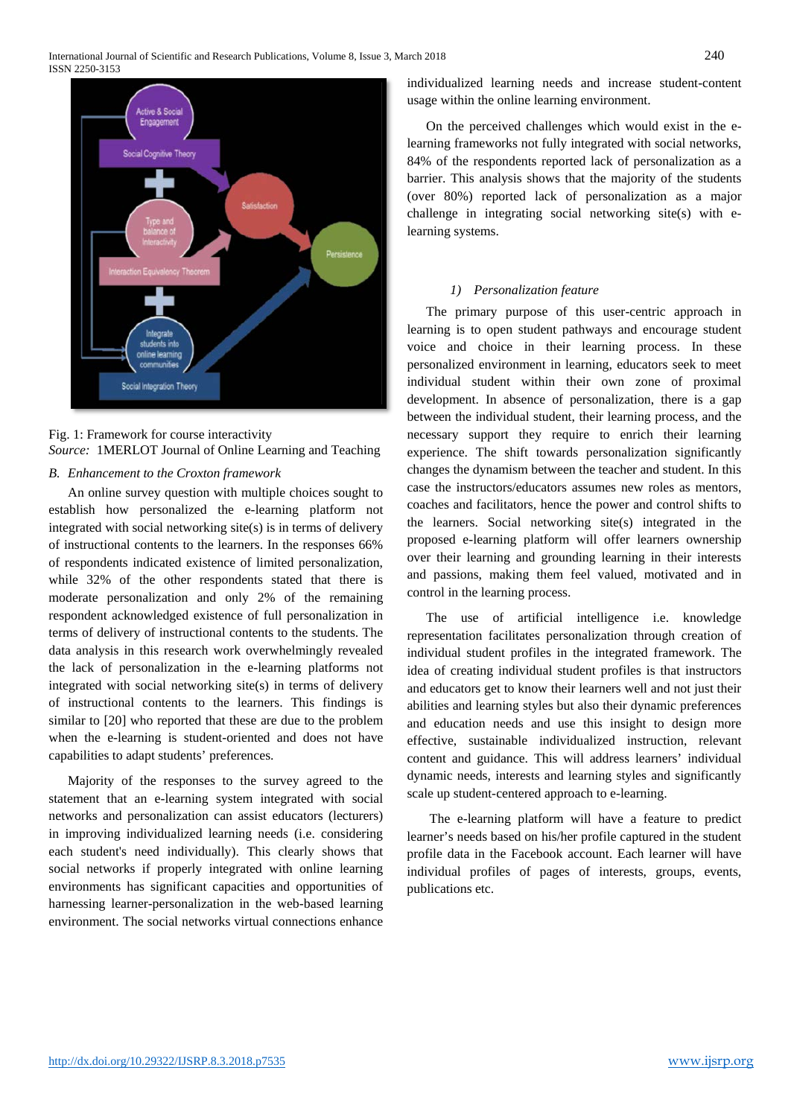

Fig. 1: Framework for course interactivity *Source:* 1MERLOT Journal of Online Learning and Teaching

# *B. Enhancement to the Croxton framework*

An online survey question with multiple choices sought to establish how personalized the e-learning platform not integrated with social networking site(s) is in terms of delivery of instructional contents to the learners. In the responses 66% of respondents indicated existence of limited personalization, while 32% of the other respondents stated that there is moderate personalization and only 2% of the remaining respondent acknowledged existence of full personalization in terms of delivery of instructional contents to the students. The data analysis in this research work overwhelmingly revealed the lack of personalization in the e-learning platforms not integrated with social networking site(s) in terms of delivery of instructional contents to the learners. This findings is similar to [20] who reported that these are due to the problem when the e-learning is student-oriented and does not have capabilities to adapt students' preferences.

Majority of the responses to the survey agreed to the statement that an e-learning system integrated with social networks and personalization can assist educators (lecturers) in improving individualized learning needs (i.e. considering each student's need individually). This clearly shows that social networks if properly integrated with online learning environments has significant capacities and opportunities of harnessing learner-personalization in the web-based learning environment. The social networks virtual connections enhance

individualized learning needs and increase student-content usage within the online learning environment.

On the perceived challenges which would exist in the elearning frameworks not fully integrated with social networks, 84% of the respondents reported lack of personalization as a barrier. This analysis shows that the majority of the students (over 80%) reported lack of personalization as a major challenge in integrating social networking site(s) with elearning systems.

#### *1) Personalization feature*

The primary purpose of this user-centric approach in learning is to open student pathways and encourage student voice and choice in their learning process. In these personalized environment in learning, educators seek to meet individual student within their own zone of proximal development. In absence of personalization, there is a gap between the individual student, their learning process, and the necessary support they require to enrich their learning experience. The shift towards personalization significantly changes the dynamism between the teacher and student. In this case the instructors/educators assumes new roles as mentors, coaches and facilitators, hence the power and control shifts to the learners. Social networking site(s) integrated in the proposed e-learning platform will offer learners ownership over their learning and grounding learning in their interests and passions, making them feel valued, motivated and in control in the learning process.

The use of artificial intelligence i.e. knowledge representation facilitates personalization through creation of individual student profiles in the integrated framework. The idea of creating individual student profiles is that instructors and educators get to know their learners well and not just their abilities and learning styles but also their dynamic preferences and education needs and use this insight to design more effective, sustainable individualized instruction, relevant content and guidance. This will address learners' individual dynamic needs, interests and learning styles and significantly scale up student-centered approach to e-learning.

The e-learning platform will have a feature to predict learner's needs based on his/her profile captured in the student profile data in the Facebook account. Each learner will have individual profiles of pages of interests, groups, events, publications etc.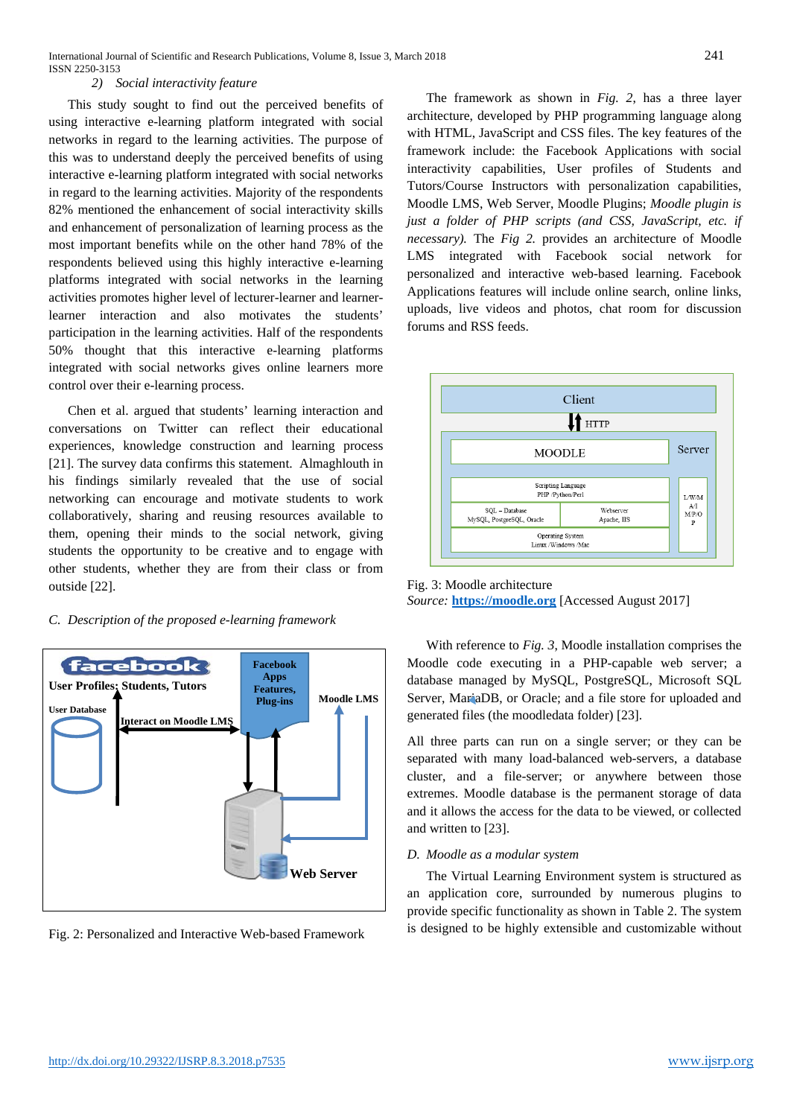#### *2) Social interactivity feature*

This study sought to find out the perceived benefits of using interactive e-learning platform integrated with social networks in regard to the learning activities. The purpose of this was to understand deeply the perceived benefits of using interactive e-learning platform integrated with social networks in regard to the learning activities. Majority of the respondents 82% mentioned the enhancement of social interactivity skills and enhancement of personalization of learning process as the most important benefits while on the other hand 78% of the respondents believed using this highly interactive e-learning platforms integrated with social networks in the learning activities promotes higher level of lecturer-learner and learnerlearner interaction and also motivates the students' participation in the learning activities. Half of the respondents 50% thought that this interactive e-learning platforms integrated with social networks gives online learners more control over their e-learning process.

Chen et al. argued that students' learning interaction and conversations on Twitter can reflect their educational experiences, knowledge construction and learning process [21]. The survey data confirms this statement. Almaghlouth in his findings similarly revealed that the use of social networking can encourage and motivate students to work collaboratively, sharing and reusing resources available to them, opening their minds to the social network, giving students the opportunity to be creative and to engage with other students, whether they are from their class or from outside [22].

#### *C. Description of the proposed e-learning framework*



Fig. 2: Personalized and Interactive Web-based Framework

The framework as shown in *Fig. 2*, has a three layer architecture, developed by PHP programming language along with HTML, JavaScript and CSS files. The key features of the framework include: the Facebook Applications with social interactivity capabilities, User profiles of Students and Tutors/Course Instructors with personalization capabilities, Moodle LMS, Web Server, Moodle Plugins; *Moodle plugin is just a folder of PHP scripts (and CSS, JavaScript, etc. if necessary).* The *Fig 2.* provides an architecture of Moodle LMS integrated with Facebook social network for personalized and interactive web-based learning. Facebook Applications features will include online search, online links, uploads, live videos and photos, chat room for discussion forums and RSS feeds.



Fig. 3: Moodle architecture *Source:* **[https://moodle.org](https://moodle.org/)** [Accessed August 2017]

With reference to *Fig. 3*, Moodle installation comprises the Moodle code executing in a PHP-capable web server; a database managed by MySQL, PostgreSQL, Microsoft SQL Server, MariaDB, or Oracle; and a file store for uploaded and generated files (the moodledata folder) [23].

All three parts can run on a single server; or they can be separated with many load-balanced web-servers, a database cluster, and a file-server; or anywhere between those extremes. Moodle database is the permanent storage of data and it allows the access for the data to be viewed, or collected and written to [23].

#### *D. Moodle as a modular system*

The Virtual Learning Environment system is structured as an application core, surrounded by numerous plugins to provide specific functionality as shown in Table 2. The system is designed to be highly extensible and customizable without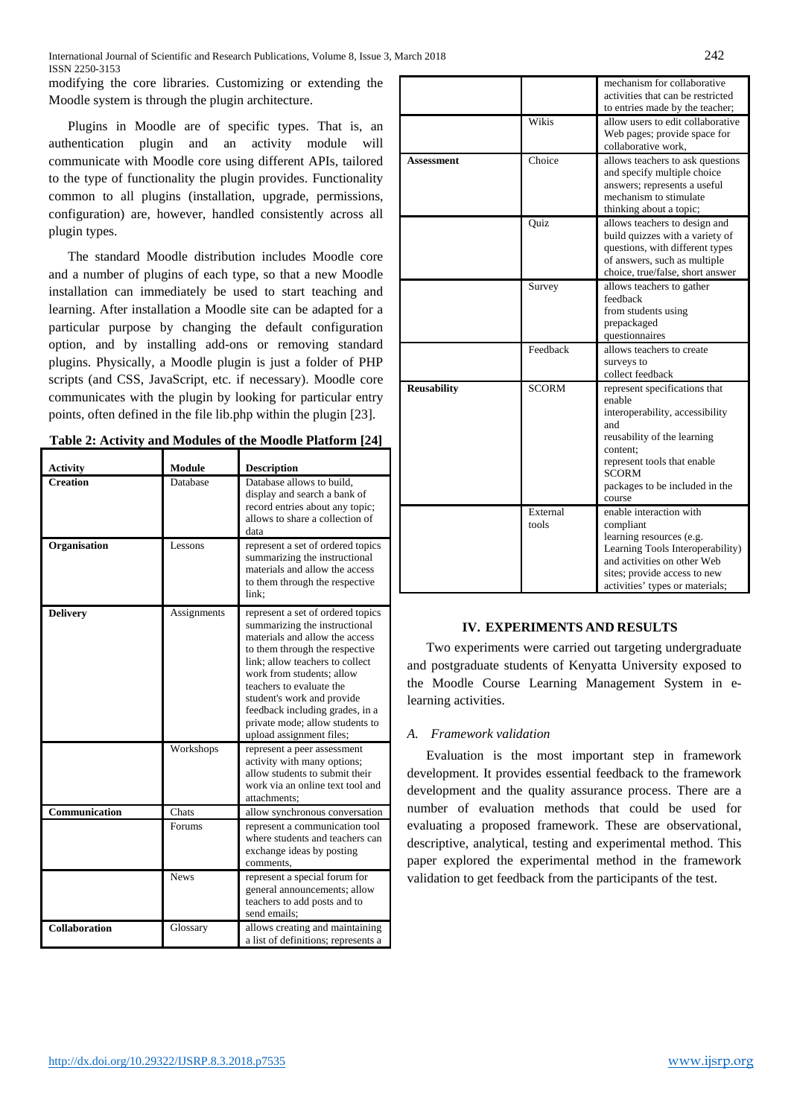modifying the core libraries. Customizing or extending the Moodle system is through the plugin architecture.

Plugins in Moodle are of specific types. That is, an authentication plugin and an activity module will communicate with Moodle core using different APIs, tailored to the type of functionality the plugin provides. Functionality common to all plugins (installation, upgrade, permissions, configuration) are, however, handled consistently across all plugin types.

The standard Moodle distribution includes Moodle core and a number of plugins of each type, so that a new Moodle installation can immediately be used to start teaching and learning. After installation a Moodle site can be adapted for a particular purpose by changing the default configuration option, and by installing add-ons or removing standard plugins. Physically, a Moodle plugin is just a folder of PHP scripts (and CSS, JavaScript, etc. if necessary). Moodle core communicates with the plugin by looking for particular entry points, often defined in the file lib.php within the plugin [23].

| <b>Activity</b> | <b>Module</b> | <b>Description</b>                                                                                                                                                                                                                                                                                                                                                 |
|-----------------|---------------|--------------------------------------------------------------------------------------------------------------------------------------------------------------------------------------------------------------------------------------------------------------------------------------------------------------------------------------------------------------------|
| <b>Creation</b> | Database      | Database allows to build,<br>display and search a bank of<br>record entries about any topic;<br>allows to share a collection of<br>data                                                                                                                                                                                                                            |
| Organisation    | Lessons       | represent a set of ordered topics<br>summarizing the instructional<br>materials and allow the access<br>to them through the respective<br>link:                                                                                                                                                                                                                    |
| <b>Delivery</b> | Assignments   | represent a set of ordered topics<br>summarizing the instructional<br>materials and allow the access<br>to them through the respective<br>link; allow teachers to collect<br>work from students; allow<br>teachers to evaluate the<br>student's work and provide<br>feedback including grades, in a<br>private mode; allow students to<br>upload assignment files; |
|                 | Workshops     | represent a peer assessment<br>activity with many options;<br>allow students to submit their<br>work via an online text tool and<br>attachments:                                                                                                                                                                                                                   |
| Communication   | Chats         | allow synchronous conversation                                                                                                                                                                                                                                                                                                                                     |
|                 | Forums        | represent a communication tool<br>where students and teachers can<br>exchange ideas by posting<br>comments,                                                                                                                                                                                                                                                        |
|                 | <b>News</b>   | represent a special forum for<br>general announcements; allow<br>teachers to add posts and to<br>send emails:                                                                                                                                                                                                                                                      |
| Collaboration   | Glossary      | allows creating and maintaining<br>a list of definitions; represents a                                                                                                                                                                                                                                                                                             |

|                    |                   | mechanism for collaborative<br>activities that can be restricted                                                                                                                                                        |
|--------------------|-------------------|-------------------------------------------------------------------------------------------------------------------------------------------------------------------------------------------------------------------------|
|                    |                   | to entries made by the teacher;                                                                                                                                                                                         |
|                    | Wikis             | allow users to edit collaborative<br>Web pages; provide space for<br>collaborative work.                                                                                                                                |
| Assessment         | Choice            | allows teachers to ask questions<br>and specify multiple choice<br>answers; represents a useful<br>mechanism to stimulate<br>thinking about a topic;                                                                    |
|                    | Quiz              | allows teachers to design and<br>build quizzes with a variety of<br>questions, with different types<br>of answers, such as multiple<br>choice, true/false, short answer                                                 |
|                    | Survey            | allows teachers to gather<br>feedback<br>from students using<br>prepackaged<br>questionnaires                                                                                                                           |
|                    | Feedback          | allows teachers to create<br>surveys to<br>collect feedback                                                                                                                                                             |
| <b>Reusability</b> | <b>SCORM</b>      | represent specifications that<br>enable<br>interoperability, accessibility<br>and<br>reusability of the learning<br>content:<br>represent tools that enable<br><b>SCORM</b><br>packages to be included in the<br>course |
|                    | External<br>tools | enable interaction with<br>compliant<br>learning resources (e.g.<br>Learning Tools Interoperability)<br>and activities on other Web<br>sites; provide access to new<br>activities' types or materials;                  |

# **IV. EXPERIMENTS AND RESULTS**

Two experiments were carried out targeting undergraduate and postgraduate students of Kenyatta University exposed to the Moodle Course Learning Management System in elearning activities.

# *A. Framework validation*

Evaluation is the most important step in framework development. It provides essential feedback to the framework development and the quality assurance process. There are a number of evaluation methods that could be used for evaluating a proposed framework. These are observational, descriptive, analytical, testing and experimental method. This paper explored the experimental method in the framework validation to get feedback from the participants of the test.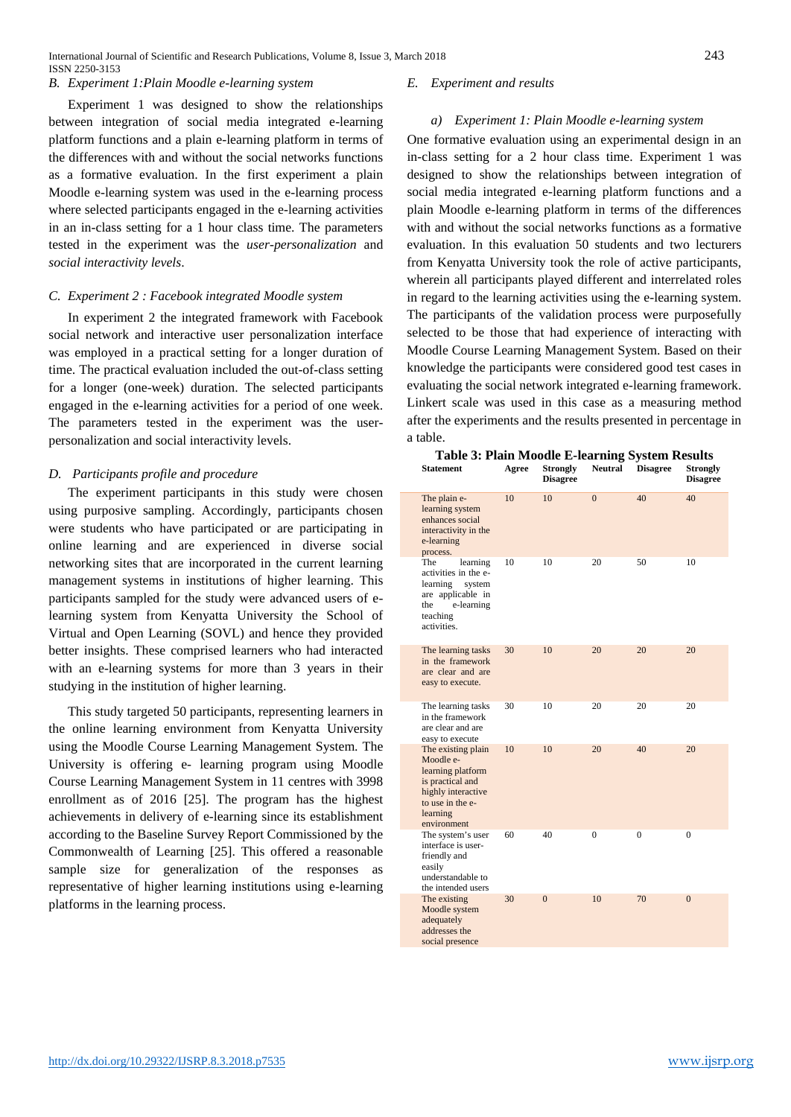International Journal of Scientific and Research Publications, Volume 8, Issue 3, March 2018 243 ISSN 2250-3153

#### *B. Experiment 1:Plain Moodle e-learning system*

Experiment 1 was designed to show the relationships between integration of social media integrated e-learning platform functions and a plain e-learning platform in terms of the differences with and without the social networks functions as a formative evaluation. In the first experiment a plain Moodle e-learning system was used in the e-learning process where selected participants engaged in the e-learning activities in an in-class setting for a 1 hour class time. The parameters tested in the experiment was the *user-personalization* and *social interactivity levels*.

#### *C. Experiment 2 : Facebook integrated Moodle system*

In experiment 2 the integrated framework with Facebook social network and interactive user personalization interface was employed in a practical setting for a longer duration of time. The practical evaluation included the out-of-class setting for a longer (one-week) duration. The selected participants engaged in the e-learning activities for a period of one week. The parameters tested in the experiment was the userpersonalization and social interactivity levels.

#### *D. Participants profile and procedure*

The experiment participants in this study were chosen using purposive sampling. Accordingly, participants chosen were students who have participated or are participating in online learning and are experienced in diverse social networking sites that are incorporated in the current learning management systems in institutions of higher learning. This participants sampled for the study were advanced users of elearning system from Kenyatta University the School of Virtual and Open Learning (SOVL) and hence they provided better insights. These comprised learners who had interacted with an e-learning systems for more than 3 years in their studying in the institution of higher learning.

This study targeted 50 participants, representing learners in the online learning environment from Kenyatta University using the Moodle Course Learning Management System. The University is offering e- learning program using Moodle Course Learning Management System in 11 centres with 3998 enrollment as of 2016 [25]. The program has the highest achievements in delivery of e-learning since its establishment according to the Baseline Survey Report Commissioned by the Commonwealth of Learning [25]. This offered a reasonable sample size for generalization of the responses as representative of higher learning institutions using e-learning platforms in the learning process.

#### *E. Experiment and results*

#### *a) Experiment 1: Plain Moodle e-learning system*

One formative evaluation using an experimental design in an in-class setting for a 2 hour class time. Experiment 1 was designed to show the relationships between integration of social media integrated e-learning platform functions and a plain Moodle e-learning platform in terms of the differences with and without the social networks functions as a formative evaluation. In this evaluation 50 students and two lecturers from Kenyatta University took the role of active participants, wherein all participants played different and interrelated roles in regard to the learning activities using the e-learning system. The participants of the validation process were purposefully selected to be those that had experience of interacting with Moodle Course Learning Management System. Based on their knowledge the participants were considered good test cases in evaluating the social network integrated e-learning framework. Linkert scale was used in this case as a measuring method after the experiments and the results presented in percentage in a table.

| <b>Statement</b>                                                                                                                              | Agree | <b>Strongly</b><br><b>Disagree</b> | <b>Neutral</b> | <b>Disagree</b> | <b>Strongly</b><br><b>Disagree</b> |
|-----------------------------------------------------------------------------------------------------------------------------------------------|-------|------------------------------------|----------------|-----------------|------------------------------------|
| The plain e-<br>learning system<br>enhances social<br>interactivity in the<br>e-learning<br>process.                                          | 10    | 10                                 | $\Omega$       | 40              | 40                                 |
| The<br>learning<br>activities in the e-<br>learning<br>system<br>are applicable in<br>e-learning<br>the<br>teaching<br>activities.            | 10    | 10                                 | 20             | 50              | 10                                 |
| The learning tasks<br>in the framework<br>are clear and are<br>easy to execute.                                                               | 30    | 10                                 | 20             | 20              | 20                                 |
| The learning tasks<br>in the framework<br>are clear and are<br>easy to execute                                                                | 30    | 10                                 | 20             | 20              | 20                                 |
| The existing plain<br>Moodle e-<br>learning platform<br>is practical and<br>highly interactive<br>to use in the e-<br>learning<br>environment | 10    | 10                                 | 20             | 40              | 20                                 |
| The system's user<br>interface is user-<br>friendly and<br>easily<br>understandable to<br>the intended users                                  | 60    | 40                                 | $\mathbf{0}$   | $\mathbf{0}$    | 0                                  |
| The existing<br>Moodle system<br>adequately<br>addresses the<br>social presence                                                               | 30    | $\overline{0}$                     | 10             | 70              | $\overline{0}$                     |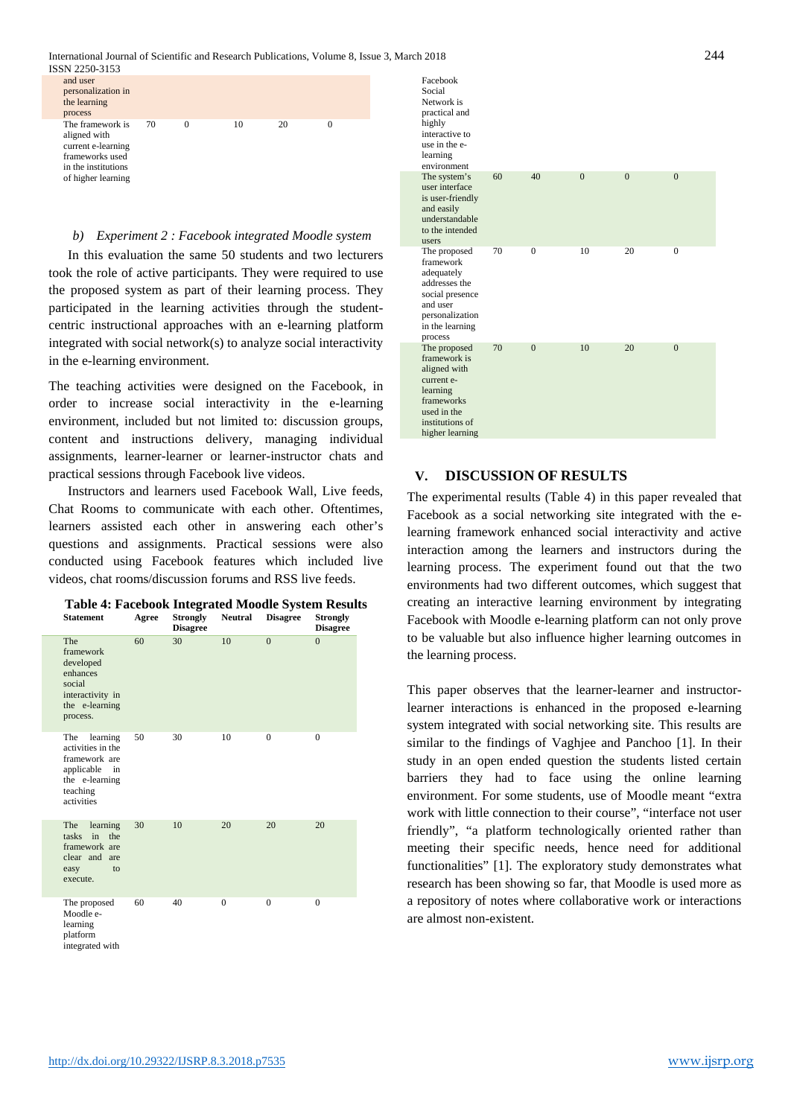

#### *b) Experiment 2 : Facebook integrated Moodle system*

In this evaluation the same 50 students and two lecturers took the role of active participants. They were required to use the proposed system as part of their learning process. They participated in the learning activities through the studentcentric instructional approaches with an e-learning platform integrated with social network(s) to analyze social interactivity in the e-learning environment.

The teaching activities were designed on the Facebook, in order to increase social interactivity in the e-learning environment, included but not limited to: discussion groups, content and instructions delivery, managing individual assignments, learner-learner or learner-instructor chats and practical sessions through Facebook live videos.

Instructors and learners used Facebook Wall, Live feeds, Chat Rooms to communicate with each other. Oftentimes, learners assisted each other in answering each other's questions and assignments. Practical sessions were also conducted using Facebook features which included live videos, chat rooms/discussion forums and RSS live feeds.

| <b>Table 4: Facebook Integrated Moodle System Results</b><br><b>Statement</b>                                         | Agree | <b>Strongly</b><br><b>Disagree</b> | <b>Neutral</b> | <b>Disagree</b> | <b>Strongly</b><br><b>Disagree</b> |
|-----------------------------------------------------------------------------------------------------------------------|-------|------------------------------------|----------------|-----------------|------------------------------------|
| The<br>framework<br>developed<br>enhances<br>social<br>interactivity in<br>the e-learning<br>process.                 | 60    | 30                                 | 10             | $\theta$        | $\theta$                           |
| learning<br>The<br>activities in the<br>framework are<br>applicable<br>in<br>the e-learning<br>teaching<br>activities | 50    | 30                                 | 10             | $\Omega$        | $\Omega$                           |
| <b>The</b><br>learning<br>tasks in the<br>framework are<br>clear and<br>are<br>easy<br>to<br>execute.                 | 30    | 10                                 | 20             | 20              | 20                                 |
| The proposed<br>Moodle e-<br>learning                                                                                 | 60    | 40                                 | $\theta$       | $\Omega$        | $\Omega$                           |

platform integrated with



### **V. DISCUSSION OF RESULTS**

The experimental results (Table 4) in this paper revealed that Facebook as a social networking site integrated with the elearning framework enhanced social interactivity and active interaction among the learners and instructors during the learning process. The experiment found out that the two environments had two different outcomes, which suggest that creating an interactive learning environment by integrating Facebook with Moodle e-learning platform can not only prove to be valuable but also influence higher learning outcomes in the learning process.

This paper observes that the learner-learner and instructorlearner interactions is enhanced in the proposed e-learning system integrated with social networking site. This results are similar to the findings of Vaghjee and Panchoo [1]. In their study in an open ended question the students listed certain barriers they had to face using the online learning environment. For some students, use of Moodle meant "extra work with little connection to their course", "interface not user friendly", "a platform technologically oriented rather than meeting their specific needs, hence need for additional functionalities" [1]. The exploratory study demonstrates what research has been showing so far, that Moodle is used more as a repository of notes where collaborative work or interactions are almost non-existent.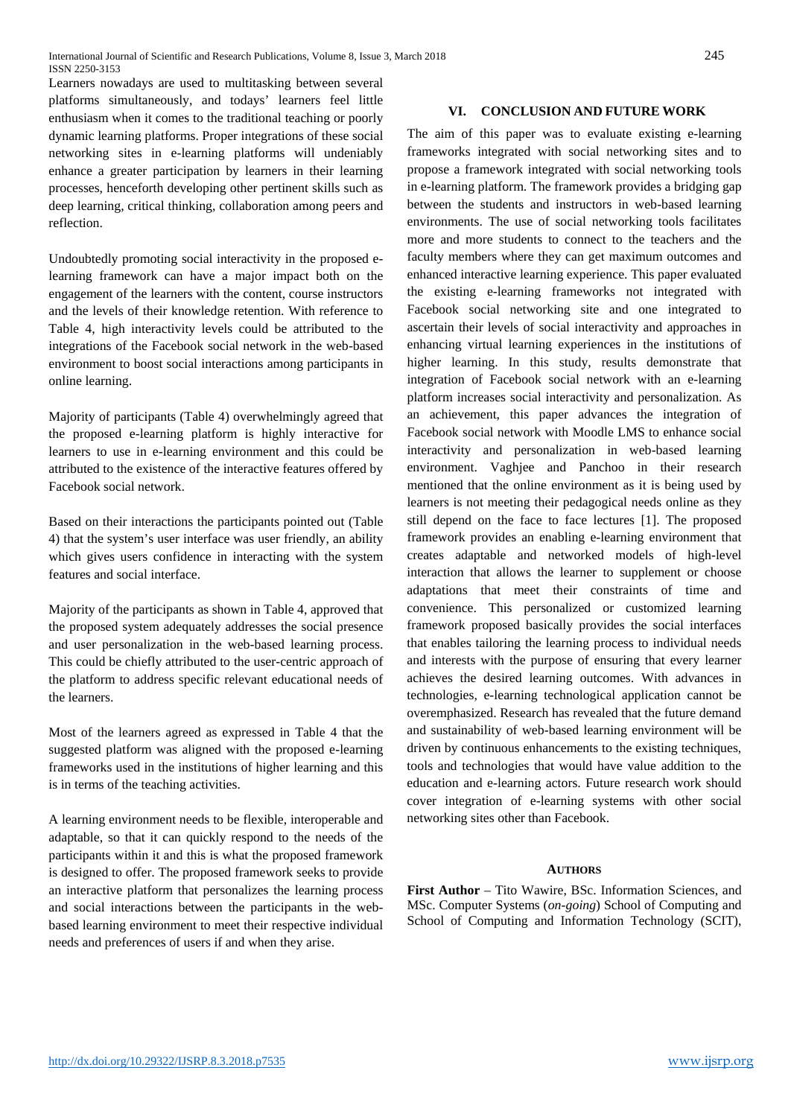Learners nowadays are used to multitasking between several platforms simultaneously, and todays' learners feel little enthusiasm when it comes to the traditional teaching or poorly dynamic learning platforms. Proper integrations of these social networking sites in e-learning platforms will undeniably enhance a greater participation by learners in their learning processes, henceforth developing other pertinent skills such as deep learning, critical thinking, collaboration among peers and reflection.

Undoubtedly promoting social interactivity in the proposed elearning framework can have a major impact both on the engagement of the learners with the content, course instructors and the levels of their knowledge retention. With reference to Table 4, high interactivity levels could be attributed to the integrations of the Facebook social network in the web-based environment to boost social interactions among participants in online learning.

Majority of participants (Table 4) overwhelmingly agreed that the proposed e-learning platform is highly interactive for learners to use in e-learning environment and this could be attributed to the existence of the interactive features offered by Facebook social network.

Based on their interactions the participants pointed out (Table 4) that the system's user interface was user friendly, an ability which gives users confidence in interacting with the system features and social interface.

Majority of the participants as shown in Table 4, approved that the proposed system adequately addresses the social presence and user personalization in the web-based learning process. This could be chiefly attributed to the user-centric approach of the platform to address specific relevant educational needs of the learners.

Most of the learners agreed as expressed in Table 4 that the suggested platform was aligned with the proposed e-learning frameworks used in the institutions of higher learning and this is in terms of the teaching activities.

A learning environment needs to be flexible, interoperable and adaptable, so that it can quickly respond to the needs of the participants within it and this is what the proposed framework is designed to offer. The proposed framework seeks to provide an interactive platform that personalizes the learning process and social interactions between the participants in the webbased learning environment to meet their respective individual needs and preferences of users if and when they arise.

# **VI. CONCLUSION AND FUTURE WORK**

The aim of this paper was to evaluate existing e-learning frameworks integrated with social networking sites and to propose a framework integrated with social networking tools in e-learning platform. The framework provides a bridging gap between the students and instructors in web-based learning environments. The use of social networking tools facilitates more and more students to connect to the teachers and the faculty members where they can get maximum outcomes and enhanced interactive learning experience. This paper evaluated the existing e-learning frameworks not integrated with Facebook social networking site and one integrated to ascertain their levels of social interactivity and approaches in enhancing virtual learning experiences in the institutions of higher learning. In this study, results demonstrate that integration of Facebook social network with an e-learning platform increases social interactivity and personalization. As an achievement, this paper advances the integration of Facebook social network with Moodle LMS to enhance social interactivity and personalization in web-based learning environment. Vaghjee and Panchoo in their research mentioned that the online environment as it is being used by learners is not meeting their pedagogical needs online as they still depend on the face to face lectures [1]. The proposed framework provides an enabling e-learning environment that creates adaptable and networked models of high-level interaction that allows the learner to supplement or choose adaptations that meet their constraints of time and convenience. This personalized or customized learning framework proposed basically provides the social interfaces that enables tailoring the learning process to individual needs and interests with the purpose of ensuring that every learner achieves the desired learning outcomes. With advances in technologies, e-learning technological application cannot be overemphasized. Research has revealed that the future demand and sustainability of web-based learning environment will be driven by continuous enhancements to the existing techniques, tools and technologies that would have value addition to the education and e-learning actors. Future research work should cover integration of e-learning systems with other social networking sites other than Facebook.

#### **AUTHORS**

**First Author** – Tito Wawire, BSc. Information Sciences, and MSc. Computer Systems (*on-going*) School of Computing and School of Computing and Information Technology (SCIT),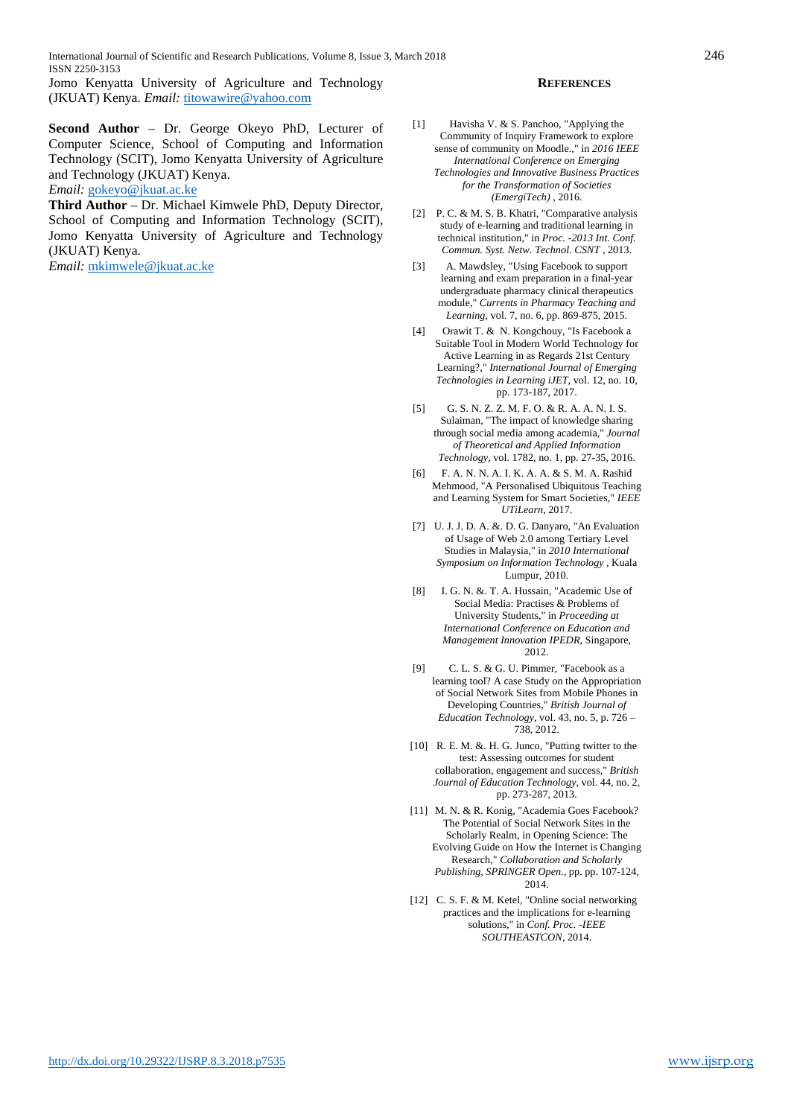International Journal of Scientific and Research Publications, Volume 8, Issue 3, March 2018 246 ISSN 2250-3153

Jomo Kenyatta University of Agriculture and Technology (JKUAT) Kenya. *Email:* [titowawire@yahoo.com](mailto:titowawire@yahoo.com)

**Second Author** – Dr. George Okeyo PhD, Lecturer of Computer Science, School of Computing and Information Technology (SCIT), Jomo Kenyatta University of Agriculture and Technology (JKUAT) Kenya.

*Email:* [gokeyo@jkuat.ac.ke](mailto:gokeyo@jkuat.ac.ke)

**Third Author** – Dr. Michael Kimwele PhD, Deputy Director, School of Computing and Information Technology (SCIT), Jomo Kenyatta University of Agriculture and Technology (JKUAT) Kenya.

*Email:* [mkimwele@jkuat.ac.ke](mailto:mkimwele@jkuat.ac.ke)

#### **REFERENCES**

- [1] Havisha V. & S. Panchoo, "Applying the Community of Inquiry Framework to explore sense of community on Moodle.," in *2016 IEEE International Conference on Emerging Technologies and Innovative Business Practices for the Transformation of Societies (EmergiTech)* , 2016.
- [2] P. C. & M. S. B. Khatri, "Comparative analysis study of e-learning and traditional learning in technical institution," in *Proc. -2013 Int. Conf. Commun. Syst. Netw. Technol. CSNT* , 2013.
- [3] A. Mawdsley, "Using Facebook to support learning and exam preparation in a final-year undergraduate pharmacy clinical therapeutics module," *Currents in Pharmacy Teaching and Learning,* vol. 7, no. 6, pp. 869-875, 2015.
- [4] Orawit T. & N. Kongchouy, "Is Facebook a Suitable Tool in Modern World Technology for Active Learning in as Regards 21st Century Learning?," *International Journal of Emerging Technologies in Learning iJET,* vol. 12, no. 10, pp. 173-187, 2017.
- [5] G. S. N. Z. Z. M. F. O. & R. A. A. N. I. S. Sulaiman, "The impact of knowledge sharing through social media among academia," *Journal of Theoretical and Applied Information Technology,* vol. 1782, no. 1, pp. 27-35, 2016.
- [6] F. A. N. N. A. I. K. A. A. & S. M. A. Rashid Mehmood, "A Personalised Ubiquitous Teaching and Learning System for Smart Societies," *IEEE UTiLearn,* 2017.
- [7] U. J. J. D. A. &. D. G. Danyaro, "An Evaluation of Usage of Web 2.0 among Tertiary Level Studies in Malaysia," in *2010 International Symposium on Information Technology* , Kuala Lumpur, 2010.
- [8] I. G. N. &. T. A. Hussain, "Academic Use of Social Media: Practises & Problems of University Students," in *Proceeding at International Conference on Education and Management Innovation IPEDR*, Singapore, 2012.
- [9] C. L. S. & G. U. Pimmer, "Facebook as a learning tool? A case Study on the Appropriation of Social Network Sites from Mobile Phones in Developing Countries," *British Journal of Education Technology,* vol. 43, no. 5, p. 726 – 738, 2012.
- [10] R. E. M. &. H. G. Junco, "Putting twitter to the test: Assessing outcomes for student collaboration, engagement and success," *British Journal of Education Technology,* vol. 44, no. 2, pp. 273-287, 2013.
- [11] M. N. & R. Konig, "Academia Goes Facebook? The Potential of Social Network Sites in the Scholarly Realm, in Opening Science: The Evolving Guide on How the Internet is Changing Research," *Collaboration and Scholarly Publishing, SPRINGER Open.,* pp. pp. 107-124, 2014.
- [12] C. S. F. & M. Ketel, "Online social networking practices and the implications for e-learning solutions," in *Conf. Proc. -IEEE SOUTHEASTCON*, 2014.